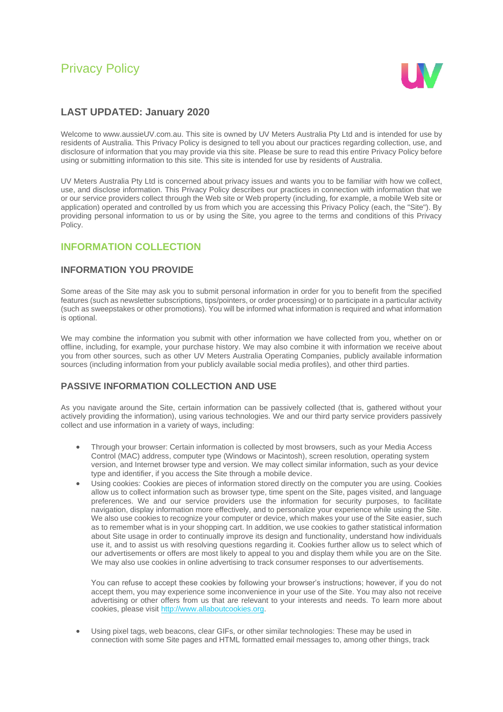# Privacy Policy



## **LAST UPDATED: January 2020**

Welcome to www.aussieUV.com.au. This site is owned by UV Meters Australia Pty Ltd and is intended for use by residents of Australia. This Privacy Policy is designed to tell you about our practices regarding collection, use, and disclosure of information that you may provide via this site. Please be sure to read this entire Privacy Policy before using or submitting information to this site. This site is intended for use by residents of Australia.

UV Meters Australia Pty Ltd is concerned about privacy issues and wants you to be familiar with how we collect, use, and disclose information. This Privacy Policy describes our practices in connection with information that we or our service providers collect through the Web site or Web property (including, for example, a mobile Web site or application) operated and controlled by us from which you are accessing this Privacy Policy (each, the "Site"). By providing personal information to us or by using the Site, you agree to the terms and conditions of this Privacy Policy.

### **INFORMATION COLLECTION**

#### **INFORMATION YOU PROVIDE**

Some areas of the Site may ask you to submit personal information in order for you to benefit from the specified features (such as newsletter subscriptions, tips/pointers, or order processing) or to participate in a particular activity (such as sweepstakes or other promotions). You will be informed what information is required and what information is optional.

We may combine the information you submit with other information we have collected from you, whether on or offline, including, for example, your purchase history. We may also combine it with information we receive about you from other sources, such as other UV Meters Australia Operating Companies, publicly available information sources (including information from your publicly available social media profiles), and other third parties.

#### **PASSIVE INFORMATION COLLECTION AND USE**

As you navigate around the Site, certain information can be passively collected (that is, gathered without your actively providing the information), using various technologies. We and our third party service providers passively collect and use information in a variety of ways, including:

- Through your browser: Certain information is collected by most browsers, such as your Media Access Control (MAC) address, computer type (Windows or Macintosh), screen resolution, operating system version, and Internet browser type and version. We may collect similar information, such as your device type and identifier, if you access the Site through a mobile device.
- Using cookies: Cookies are pieces of information stored directly on the computer you are using. Cookies allow us to collect information such as browser type, time spent on the Site, pages visited, and language preferences. We and our service providers use the information for security purposes, to facilitate navigation, display information more effectively, and to personalize your experience while using the Site. We also use cookies to recognize your computer or device, which makes your use of the Site easier, such as to remember what is in your shopping cart. In addition, we use cookies to gather statistical information about Site usage in order to continually improve its design and functionality, understand how individuals use it, and to assist us with resolving questions regarding it. Cookies further allow us to select which of our advertisements or offers are most likely to appeal to you and display them while you are on the Site. We may also use cookies in online advertising to track consumer responses to our advertisements.

You can refuse to accept these cookies by following your browser's instructions; however, if you do not accept them, you may experience some inconvenience in your use of the Site. You may also not receive advertising or other offers from us that are relevant to your interests and needs. To learn more about cookies, please visi[t http://www.allaboutcookies.org.](javascript:void(0))

• Using pixel tags, web beacons, clear GIFs, or other similar technologies: These may be used in connection with some Site pages and HTML formatted email messages to, among other things, track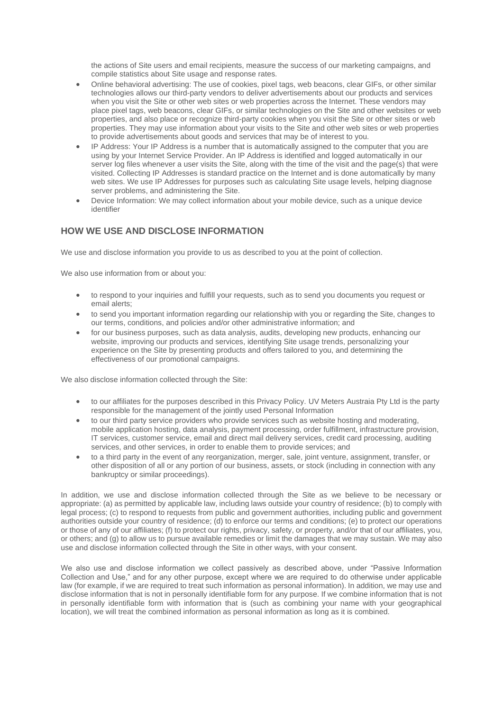the actions of Site users and email recipients, measure the success of our marketing campaigns, and compile statistics about Site usage and response rates.

- Online behavioral advertising: The use of cookies, pixel tags, web beacons, clear GIFs, or other similar technologies allows our third-party vendors to deliver advertisements about our products and services when you visit the Site or other web sites or web properties across the Internet. These vendors may place pixel tags, web beacons, clear GIFs, or similar technologies on the Site and other websites or web properties, and also place or recognize third-party cookies when you visit the Site or other sites or web properties. They may use information about your visits to the Site and other web sites or web properties to provide advertisements about goods and services that may be of interest to you.
- IP Address: Your IP Address is a number that is automatically assigned to the computer that you are using by your Internet Service Provider. An IP Address is identified and logged automatically in our server log files whenever a user visits the Site, along with the time of the visit and the page(s) that were visited. Collecting IP Addresses is standard practice on the Internet and is done automatically by many web sites. We use IP Addresses for purposes such as calculating Site usage levels, helping diagnose server problems, and administering the Site.
- Device Information: We may collect information about your mobile device, such as a unique device identifier

#### **HOW WE USE AND DISCLOSE INFORMATION**

We use and disclose information you provide to us as described to you at the point of collection.

We also use information from or about you:

- to respond to your inquiries and fulfill your requests, such as to send you documents you request or email alerts;
- to send you important information regarding our relationship with you or regarding the Site, changes to our terms, conditions, and policies and/or other administrative information; and
- for our business purposes, such as data analysis, audits, developing new products, enhancing our website, improving our products and services, identifying Site usage trends, personalizing your experience on the Site by presenting products and offers tailored to you, and determining the effectiveness of our promotional campaigns.

We also disclose information collected through the Site:

- to our affiliates for the purposes described in this Privacy Policy. UV Meters Austraia Pty Ltd is the party responsible for the management of the jointly used Personal Information
- to our third party service providers who provide services such as website hosting and moderating, mobile application hosting, data analysis, payment processing, order fulfillment, infrastructure provision, IT services, customer service, email and direct mail delivery services, credit card processing, auditing services, and other services, in order to enable them to provide services; and
- to a third party in the event of any reorganization, merger, sale, joint venture, assignment, transfer, or other disposition of all or any portion of our business, assets, or stock (including in connection with any bankruptcy or similar proceedings).

In addition, we use and disclose information collected through the Site as we believe to be necessary or appropriate: (a) as permitted by applicable law, including laws outside your country of residence; (b) to comply with legal process; (c) to respond to requests from public and government authorities, including public and government authorities outside your country of residence; (d) to enforce our terms and conditions; (e) to protect our operations or those of any of our affiliates; (f) to protect our rights, privacy, safety, or property, and/or that of our affiliates, you, or others; and (g) to allow us to pursue available remedies or limit the damages that we may sustain. We may also use and disclose information collected through the Site in other ways, with your consent.

We also use and disclose information we collect passively as described above, under "Passive Information Collection and Use," and for any other purpose, except where we are required to do otherwise under applicable law (for example, if we are required to treat such information as personal information). In addition, we may use and disclose information that is not in personally identifiable form for any purpose. If we combine information that is not in personally identifiable form with information that is (such as combining your name with your geographical location), we will treat the combined information as personal information as long as it is combined.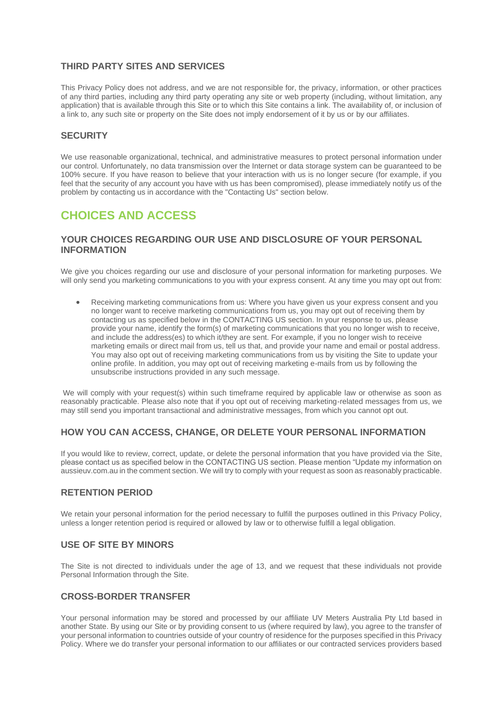#### **THIRD PARTY SITES AND SERVICES**

This Privacy Policy does not address, and we are not responsible for, the privacy, information, or other practices of any third parties, including any third party operating any site or web property (including, without limitation, any application) that is available through this Site or to which this Site contains a link. The availability of, or inclusion of a link to, any such site or property on the Site does not imply endorsement of it by us or by our affiliates.

#### **SECURITY**

We use reasonable organizational, technical, and administrative measures to protect personal information under our control. Unfortunately, no data transmission over the Internet or data storage system can be guaranteed to be 100% secure. If you have reason to believe that your interaction with us is no longer secure (for example, if you feel that the security of any account you have with us has been compromised), please immediately notify us of the problem by contacting us in accordance with the "Contacting Us" section below.

## **CHOICES AND ACCESS**

#### **YOUR CHOICES REGARDING OUR USE AND DISCLOSURE OF YOUR PERSONAL INFORMATION**

We give you choices regarding our use and disclosure of your personal information for marketing purposes. We will only send you marketing communications to you with your express consent. At any time you may opt out from:

• Receiving marketing communications from us: Where you have given us your express consent and you no longer want to receive marketing communications from us, you may opt out of receiving them by contacting us as specified below in the CONTACTING US section. In your response to us, please provide your name, identify the form(s) of marketing communications that you no longer wish to receive, and include the address(es) to which it/they are sent. For example, if you no longer wish to receive marketing emails or direct mail from us, tell us that, and provide your name and email or postal address. You may also opt out of receiving marketing communications from us by visiting the Site to update your online profile. In addition, you may opt out of receiving marketing e-mails from us by following the unsubscribe instructions provided in any such message.

We will comply with your request(s) within such timeframe required by applicable law or otherwise as soon as reasonably practicable. Please also note that if you opt out of receiving marketing-related messages from us, we may still send you important transactional and administrative messages, from which you cannot opt out.

#### **HOW YOU CAN ACCESS, CHANGE, OR DELETE YOUR PERSONAL INFORMATION**

If you would like to review, correct, update, or delete the personal information that you have provided via the Site, please contact us as specified below in the CONTACTING US section. Please mention "Update my information on aussieuv.com.au in the comment section. We will try to comply with your request as soon as reasonably practicable.

#### **RETENTION PERIOD**

We retain your personal information for the period necessary to fulfill the purposes outlined in this Privacy Policy, unless a longer retention period is required or allowed by law or to otherwise fulfill a legal obligation.

#### **USE OF SITE BY MINORS**

The Site is not directed to individuals under the age of 13, and we request that these individuals not provide Personal Information through the Site.

#### **CROSS-BORDER TRANSFER**

Your personal information may be stored and processed by our affiliate UV Meters Australia Pty Ltd based in another State. By using our Site or by providing consent to us (where required by law), you agree to the transfer of your personal information to countries outside of your country of residence for the purposes specified in this Privacy Policy. Where we do transfer your personal information to our affiliates or our contracted services providers based